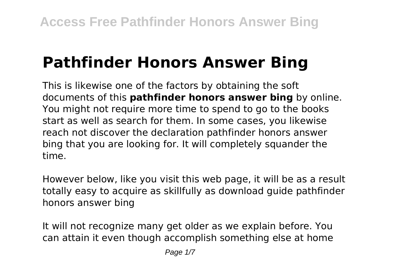# **Pathfinder Honors Answer Bing**

This is likewise one of the factors by obtaining the soft documents of this **pathfinder honors answer bing** by online. You might not require more time to spend to go to the books start as well as search for them. In some cases, you likewise reach not discover the declaration pathfinder honors answer bing that you are looking for. It will completely squander the time.

However below, like you visit this web page, it will be as a result totally easy to acquire as skillfully as download guide pathfinder honors answer bing

It will not recognize many get older as we explain before. You can attain it even though accomplish something else at home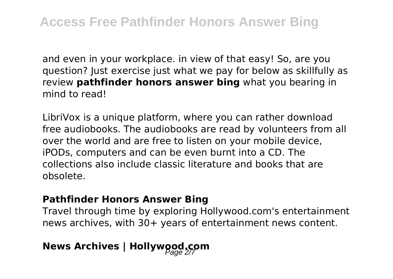and even in your workplace. in view of that easy! So, are you question? Just exercise just what we pay for below as skillfully as review **pathfinder honors answer bing** what you bearing in mind to read!

LibriVox is a unique platform, where you can rather download free audiobooks. The audiobooks are read by volunteers from all over the world and are free to listen on your mobile device, iPODs, computers and can be even burnt into a CD. The collections also include classic literature and books that are obsolete.

#### **Pathfinder Honors Answer Bing**

Travel through time by exploring Hollywood.com's entertainment news archives, with 30+ years of entertainment news content.

## **News Archives | Hollywood.com**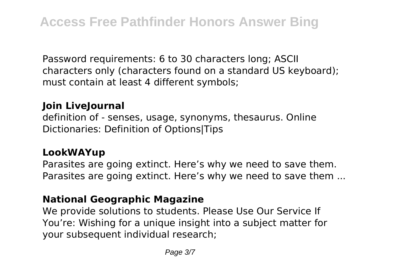Password requirements: 6 to 30 characters long; ASCII characters only (characters found on a standard US keyboard); must contain at least 4 different symbols;

#### **Join LiveJournal**

definition of - senses, usage, synonyms, thesaurus. Online Dictionaries: Definition of Options|Tips

#### **LookWAYup**

Parasites are going extinct. Here's why we need to save them. Parasites are going extinct. Here's why we need to save them ...

#### **National Geographic Magazine**

We provide solutions to students. Please Use Our Service If You're: Wishing for a unique insight into a subject matter for your subsequent individual research;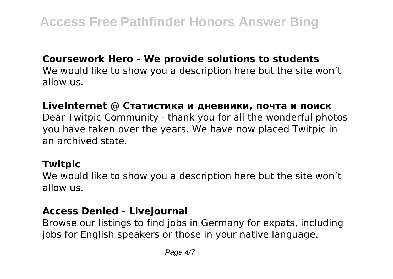#### **Coursework Hero - We provide solutions to students**

We would like to show you a description here but the site won't allow us.

#### **LiveInternet @ Статистика и дневники, почта и поиск**

Dear Twitpic Community - thank you for all the wonderful photos you have taken over the years. We have now placed Twitpic in an archived state.

#### **Twitpic**

We would like to show you a description here but the site won't allow us.

#### **Access Denied - LiveJournal**

Browse our listings to find jobs in Germany for expats, including jobs for English speakers or those in your native language.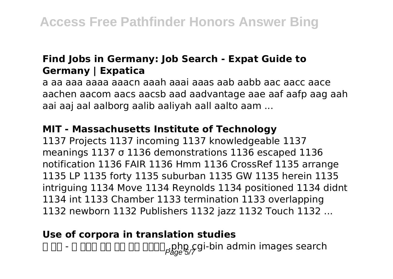#### **Find Jobs in Germany: Job Search - Expat Guide to Germany | Expatica**

a aa aaa aaaa aaacn aaah aaai aaas aab aabb aac aacc aace aachen aacom aacs aacsb aad aadvantage aae aaf aafp aag aah aai aaj aal aalborg aalib aaliyah aall aalto aam ...

#### **MIT - Massachusetts Institute of Technology**

1137 Projects 1137 incoming 1137 knowledgeable 1137 meanings 1137 σ 1136 demonstrations 1136 escaped 1136 notification 1136 FAIR 1136 Hmm 1136 CrossRef 1135 arrange 1135 LP 1135 forty 1135 suburban 1135 GW 1135 herein 1135 intriguing 1134 Move 1134 Reynolds 1134 positioned 1134 didnt 1134 int 1133 Chamber 1133 termination 1133 overlapping 1132 newborn 1132 Publishers 1132 jazz 1132 Touch 1132 ...

#### **Use of corpora in translation studies**

웹 해킹 - 웹 페이지 관련 구성 파일 이름목록 .php cgi-bin admin images search Page 5/7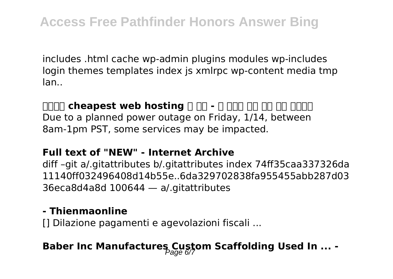includes .html cache wp-admin plugins modules wp-includes login themes templates index js xmlrpc wp-content media tmp lan..

### **ZOOO cheapest web hosting A AD - A AND AND MAND AND AND**

Due to a planned power outage on Friday, 1/14, between 8am-1pm PST, some services may be impacted.

#### **Full text of "NEW" - Internet Archive**

diff –git a/.gitattributes b/.gitattributes index 74ff35caa337326da 11140ff032496408d14b55e..6da329702838fa955455abb287d03 36eca8d4a8d 100644 — a/.gitattributes

#### **- Thienmaonline**

[] Dilazione pagamenti e agevolazioni fiscali ...

## **Baber Inc Manufactures Custom Scaffolding Used In ... -**